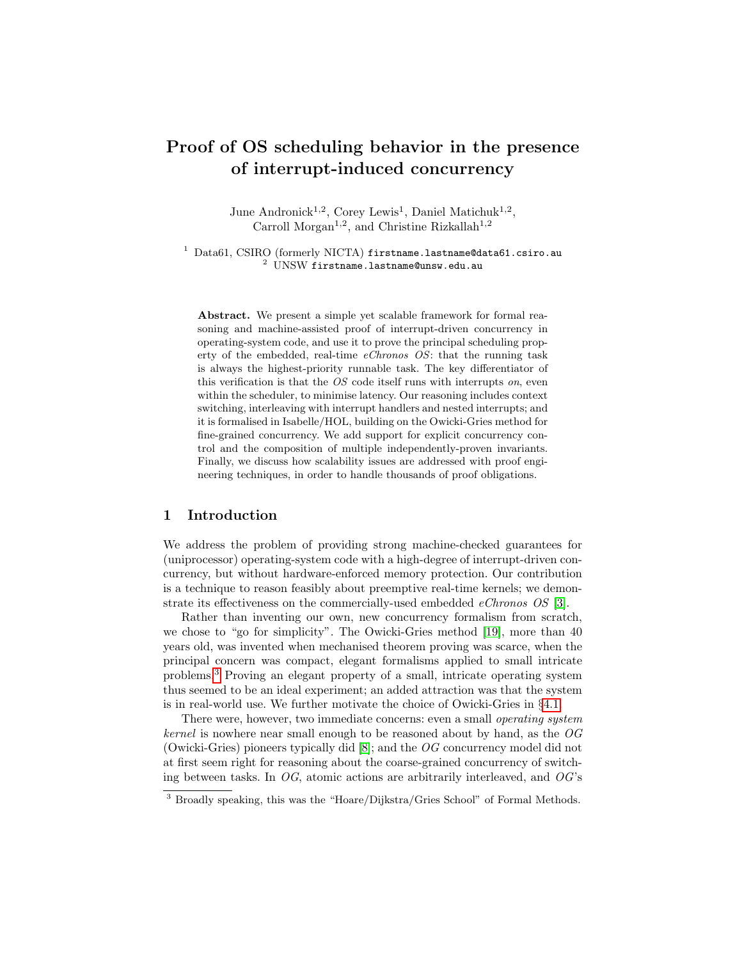# Proof of OS scheduling behavior in the presence of interrupt-induced concurrency

June Andronick<sup>1,2</sup>, Corey Lewis<sup>1</sup>, Daniel Matichuk<sup>1,2</sup>, Carroll Morgan<sup>1,2</sup>, and Christine Rizkallah<sup>1,2</sup>

 $1$  Data61, CSIRO (formerly NICTA) firstname.lastname@data61.csiro.au  $^{2}$  UNSW firstname.lastname@unsw.edu.au

Abstract. We present a simple yet scalable framework for formal reasoning and machine-assisted proof of interrupt-driven concurrency in operating-system code, and use it to prove the principal scheduling property of the embedded, real-time eChronos OS: that the running task is always the highest-priority runnable task. The key differentiator of this verification is that the OS code itself runs with interrupts on, even within the scheduler, to minimise latency. Our reasoning includes context switching, interleaving with interrupt handlers and nested interrupts; and it is formalised in Isabelle/HOL, building on the Owicki-Gries method for fine-grained concurrency. We add support for explicit concurrency control and the composition of multiple independently-proven invariants. Finally, we discuss how scalability issues are addressed with proof engineering techniques, in order to handle thousands of proof obligations.

### <span id="page-0-1"></span>1 Introduction

We address the problem of providing strong machine-checked guarantees for (uniprocessor) operating-system code with a high-degree of interrupt-driven concurrency, but without hardware-enforced memory protection. Our contribution is a technique to reason feasibly about preemptive real-time kernels; we demonstrate its effectiveness on the commercially-used embedded *eChronos OS* [\[3\]](#page-14-0).

Rather than inventing our own, new concurrency formalism from scratch, we chose to "go for simplicity". The Owicki-Gries method [\[19\]](#page-15-0), more than 40 years old, was invented when mechanised theorem proving was scarce, when the principal concern was compact, elegant formalisms applied to small intricate problems.[3](#page-0-0) Proving an elegant property of a small, intricate operating system thus seemed to be an ideal experiment; an added attraction was that the system is in real-world use. We further motivate the choice of Owicki-Gries in §[4.1.](#page-7-0)

There were, however, two immediate concerns: even a small operating system  $kernel$  is nowhere near small enough to be reasoned about by hand, as the  $OG$ (Owicki-Gries) pioneers typically did [\[8\]](#page-15-1); and the OG concurrency model did not at first seem right for reasoning about the coarse-grained concurrency of switching between tasks. In  $OG$ , atomic actions are arbitrarily interleaved, and  $OG$ 's

<span id="page-0-0"></span><sup>&</sup>lt;sup>3</sup> Broadly speaking, this was the "Hoare/Dijkstra/Gries School" of Formal Methods.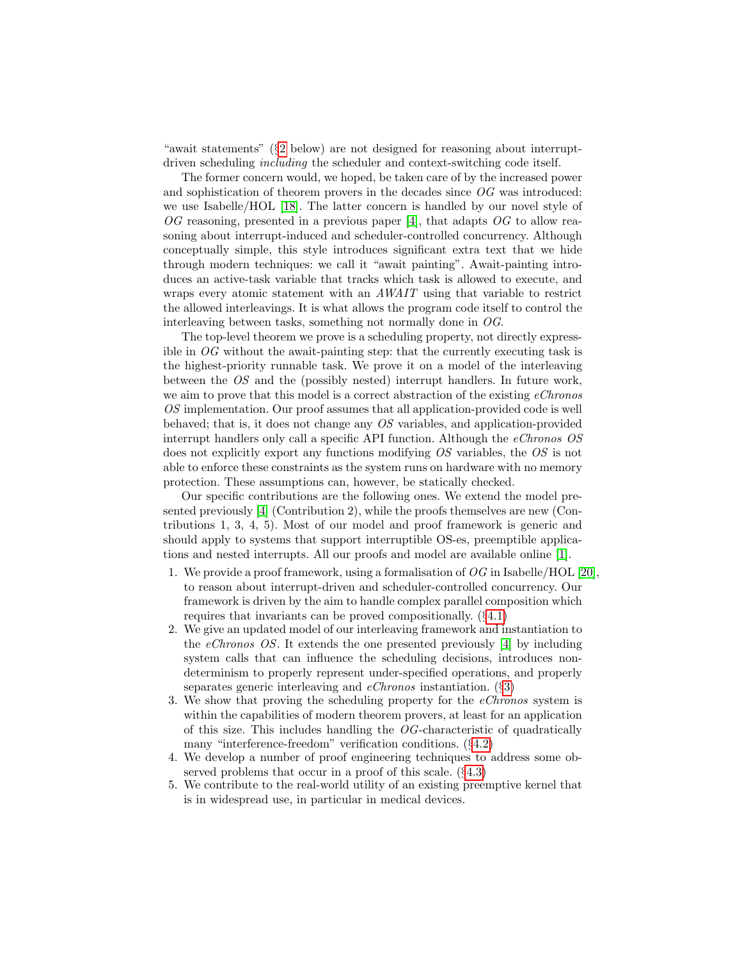"await statements" (§[2](#page-2-0) below) are not designed for reasoning about interruptdriven scheduling including the scheduler and context-switching code itself.

The former concern would, we hoped, be taken care of by the increased power and sophistication of theorem provers in the decades since  $\overline{OG}$  was introduced: we use Isabelle/HOL [\[18\]](#page-15-2). The latter concern is handled by our novel style of  $OG$  reasoning, presented in a previous paper [\[4\]](#page-15-3), that adapts  $OG$  to allow reasoning about interrupt-induced and scheduler-controlled concurrency. Although conceptually simple, this style introduces significant extra text that we hide through modern techniques: we call it "await painting". Await-painting introduces an active-task variable that tracks which task is allowed to execute, and wraps every atomic statement with an AWAIT using that variable to restrict the allowed interleavings. It is what allows the program code itself to control the interleaving between tasks, something not normally done in OG.

The top-level theorem we prove is a scheduling property, not directly expressible in OG without the await-painting step: that the currently executing task is the highest-priority runnable task. We prove it on a model of the interleaving between the OS and the (possibly nested) interrupt handlers. In future work, we aim to prove that this model is a correct abstraction of the existing  $eChronos$ OS implementation. Our proof assumes that all application-provided code is well behaved; that is, it does not change any OS variables, and application-provided interrupt handlers only call a specific API function. Although the eChronos OS does not explicitly export any functions modifying OS variables, the OS is not able to enforce these constraints as the system runs on hardware with no memory protection. These assumptions can, however, be statically checked.

Our specific contributions are the following ones. We extend the model presented previously [\[4\]](#page-15-3) (Contribution 2), while the proofs themselves are new (Contributions 1, 3, 4, 5). Most of our model and proof framework is generic and should apply to systems that support interruptible OS-es, preemptible applications and nested interrupts. All our proofs and model are available online [\[1\]](#page-14-1).

- 1. We provide a proof framework, using a formalisation of  $OG$  in Isabelle/HOL [\[20\]](#page-15-4), to reason about interrupt-driven and scheduler-controlled concurrency. Our framework is driven by the aim to handle complex parallel composition which requires that invariants can be proved compositionally. (§[4.1\)](#page-7-0)
- 2. We give an updated model of our interleaving framework and instantiation to the *eChronos OS*. It extends the one presented previously [\[4\]](#page-15-3) by including system calls that can influence the scheduling decisions, introduces nondeterminism to properly represent under-specified operations, and properly separates generic interleaving and *eChronos* instantiation.  $(\S3)$  $(\S3)$
- 3. We show that proving the scheduling property for the  $eChronos$  system is within the capabilities of modern theorem provers, at least for an application of this size. This includes handling the  $OG$ -characteristic of quadratically many "interference-freedom" verification conditions. (§[4.2\)](#page-9-0)
- 4. We develop a number of proof engineering techniques to address some observed problems that occur in a proof of this scale. (§[4.3\)](#page-11-0)
- 5. We contribute to the real-world utility of an existing preemptive kernel that is in widespread use, in particular in medical devices.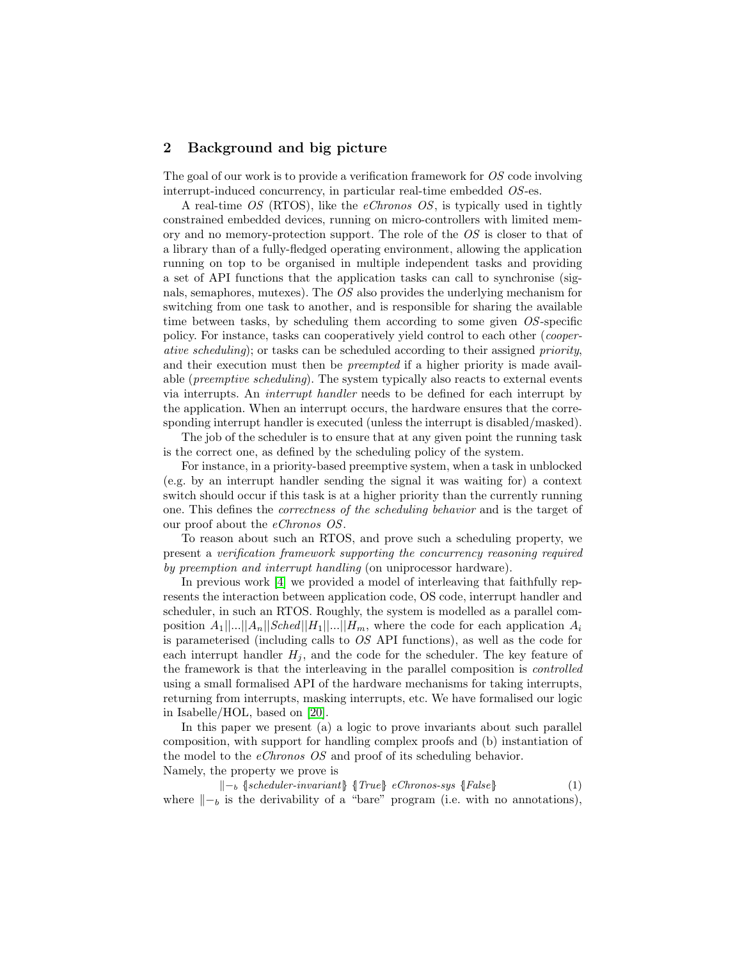## <span id="page-2-0"></span>2 Background and big picture

The goal of our work is to provide a verification framework for OS code involving interrupt-induced concurrency, in particular real-time embedded OS-es.

A real-time OS (RTOS), like the eChronos OS, is typically used in tightly constrained embedded devices, running on micro-controllers with limited memory and no memory-protection support. The role of the  $OS$  is closer to that of a library than of a fully-fledged operating environment, allowing the application running on top to be organised in multiple independent tasks and providing a set of API functions that the application tasks can call to synchronise (signals, semaphores, mutexes). The OS also provides the underlying mechanism for switching from one task to another, and is responsible for sharing the available time between tasks, by scheduling them according to some given OS-specific policy. For instance, tasks can cooperatively yield control to each other (cooperative scheduling); or tasks can be scheduled according to their assigned priority, and their execution must then be preempted if a higher priority is made available (preemptive scheduling). The system typically also reacts to external events via interrupts. An interrupt handler needs to be defined for each interrupt by the application. When an interrupt occurs, the hardware ensures that the corresponding interrupt handler is executed (unless the interrupt is disabled/masked).

The job of the scheduler is to ensure that at any given point the running task is the correct one, as defined by the scheduling policy of the system.

For instance, in a priority-based preemptive system, when a task in unblocked (e.g. by an interrupt handler sending the signal it was waiting for) a context switch should occur if this task is at a higher priority than the currently running one. This defines the correctness of the scheduling behavior and is the target of our proof about the eChronos OS.

To reason about such an RTOS, and prove such a scheduling property, we present a verification framework supporting the concurrency reasoning required by preemption and interrupt handling (on uniprocessor hardware).

In previous work [\[4\]](#page-15-3) we provided a model of interleaving that faithfully represents the interaction between application code, OS code, interrupt handler and scheduler, in such an RTOS. Roughly, the system is modelled as a parallel composition  $A_1$ ||...|| $A_n$ ||*Sched*|| $H_1$ ||...|| $H_m$ , where the code for each application  $A_i$ is parameterised (including calls to OS API functions), as well as the code for each interrupt handler  $H_i$ , and the code for the scheduler. The key feature of the framework is that the interleaving in the parallel composition is controlled using a small formalised API of the hardware mechanisms for taking interrupts, returning from interrupts, masking interrupts, etc. We have formalised our logic in Isabelle/HOL, based on [\[20\]](#page-15-4).

In this paper we present (a) a logic to prove invariants about such parallel composition, with support for handling complex proofs and (b) instantiation of the model to the eChronos OS and proof of its scheduling behavior. Namely, the property we prove is

<span id="page-2-1"></span> $\|\cdot_b\|$ scheduler-invariant $\|\cdot\|$ True $\|$  eChronos-sys  $\{False\}$  (1) where  $\Vert -b \Vert$  is the derivability of a "bare" program (i.e. with no annotations),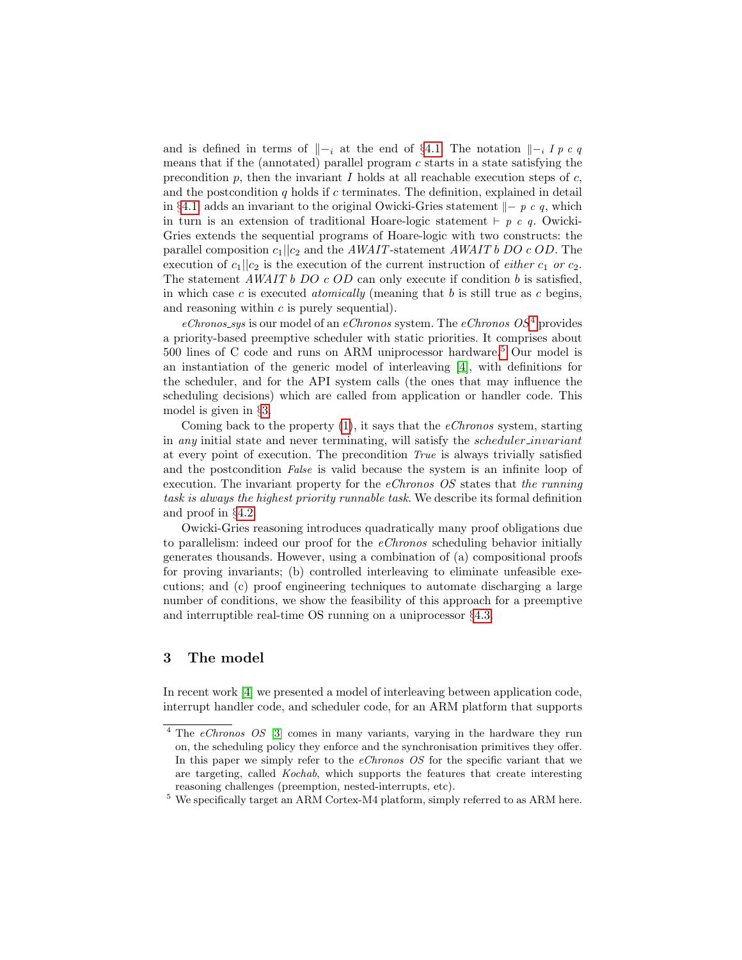and is defined in terms of  $\parallel -i$  at the end of §[4.1.](#page-7-0) The notation  $\parallel -i$  I p c q means that if the (annotated) parallel program  $c$  starts in a state satisfying the precondition p, then the invariant I holds at all reachable execution steps of  $c$ , and the postcondition  $q$  holds if  $c$  terminates. The definition, explained in detail in §[4.1,](#page-7-0) adds an invariant to the original Owicki-Gries statement  $\| − p c q$ , which in turn is an extension of traditional Hoare-logic statement  $\vdash p \ c \ q$ . Owicki-Gries extends the sequential programs of Hoare-logic with two constructs: the parallel composition  $c_1||c_2$  and the AWAIT-statement AWAIT b DO c OD. The execution of  $c_1||c_2$  is the execution of the current instruction of *either*  $c_1$  or  $c_2$ . The statement AWAIT  $b$  DO  $c$  OD can only execute if condition  $b$  is satisfied, in which case  $c$  is executed *atomically* (meaning that  $b$  is still true as  $c$  begins, and reasoning within  $c$  is purely sequential).

eChronos sys is our model of an eChronos system. The eChronos  $OS<sup>4</sup>$  $OS<sup>4</sup>$  $OS<sup>4</sup>$  provides a priority-based preemptive scheduler with static priorities. It comprises about 500 lines of C code and runs on ARM uniprocessor hardware.[5](#page-3-2) Our model is an instantiation of the generic model of interleaving [\[4\]](#page-15-3), with definitions for the scheduler, and for the API system calls (the ones that may influence the scheduling decisions) which are called from application or handler code. This model is given in §[3.](#page-3-0)

Coming back to the property  $(1)$ , it says that the *eChronos* system, starting in any initial state and never terminating, will satisfy the scheduler invariant at every point of execution. The precondition True is always trivially satisfied and the postcondition False is valid because the system is an infinite loop of execution. The invariant property for the *eChronos OS* states that the running task is always the highest priority runnable task. We describe its formal definition and proof in §[4.2.](#page-9-0)

Owicki-Gries reasoning introduces quadratically many proof obligations due to parallelism: indeed our proof for the eChronos scheduling behavior initially generates thousands. However, using a combination of (a) compositional proofs for proving invariants; (b) controlled interleaving to eliminate unfeasible executions; and (c) proof engineering techniques to automate discharging a large number of conditions, we show the feasibility of this approach for a preemptive and interruptible real-time OS running on a uniprocessor §[4.3.](#page-11-0)

# <span id="page-3-0"></span>3 The model

In recent work [\[4\]](#page-15-3) we presented a model of interleaving between application code, interrupt handler code, and scheduler code, for an ARM platform that supports

<span id="page-3-1"></span><sup>&</sup>lt;sup>4</sup> The *eChronos OS* [\[3\]](#page-14-0) comes in many variants, varying in the hardware they run on, the scheduling policy they enforce and the synchronisation primitives they offer. In this paper we simply refer to the *eChronos OS* for the specific variant that we are targeting, called Kochab, which supports the features that create interesting reasoning challenges (preemption, nested-interrupts, etc).

<span id="page-3-2"></span> $^5\,$  We specifically target an ARM Cortex-M4 platform, simply referred to as ARM here.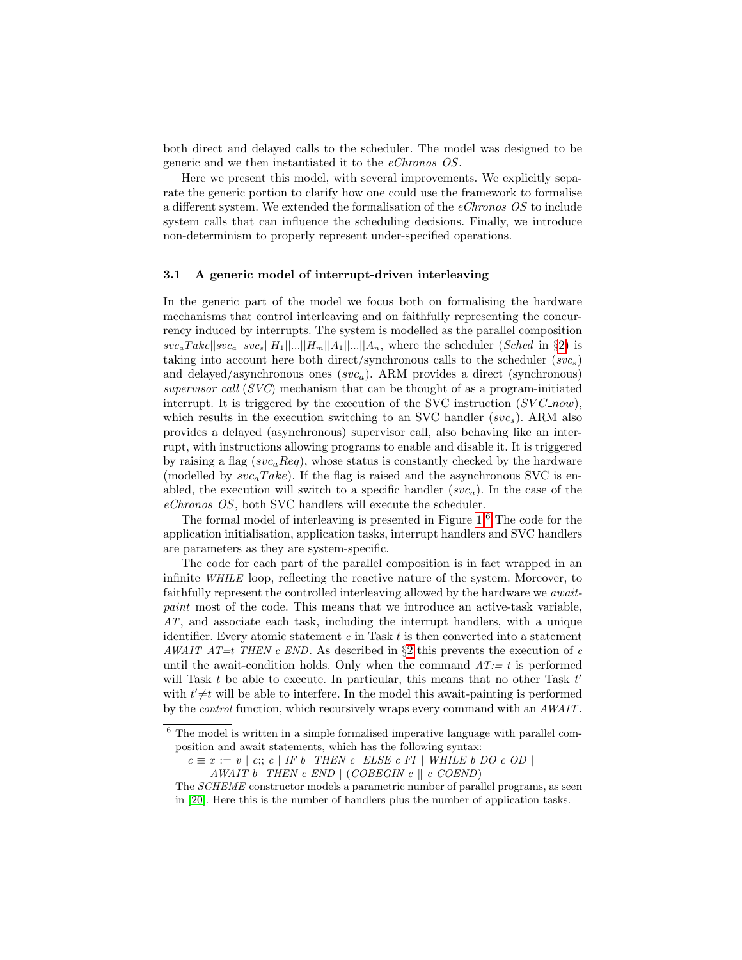both direct and delayed calls to the scheduler. The model was designed to be generic and we then instantiated it to the eChronos OS.

Here we present this model, with several improvements. We explicitly separate the generic portion to clarify how one could use the framework to formalise a different system. We extended the formalisation of the eChronos OS to include system calls that can influence the scheduling decisions. Finally, we introduce non-determinism to properly represent under-specified operations.

#### 3.1 A generic model of interrupt-driven interleaving

In the generic part of the model we focus both on formalising the hardware mechanisms that control interleaving and on faithfully representing the concurrency induced by interrupts. The system is modelled as the parallel composition  $svc_aTake||src_a||src_s||H_1||...||H_m||A_1||...||A_n$ , where the scheduler (*Sched* in §[2\)](#page-2-0) is taking into account here both direct/synchronous calls to the scheduler  $(svc<sub>s</sub>)$ and delayed/asynchronous ones  $(svc_a)$ . ARM provides a direct (synchronous) supervisor call  $(SVC)$  mechanism that can be thought of as a program-initiated interrupt. It is triggered by the execution of the SVC instruction  $(SVC-now)$ , which results in the execution switching to an SVC handler  $(svc<sub>s</sub>)$ . ARM also provides a delayed (asynchronous) supervisor call, also behaving like an interrupt, with instructions allowing programs to enable and disable it. It is triggered by raising a flag ( $svc<sub>a</sub>Req$ ), whose status is constantly checked by the hardware (modelled by  $\mathit{svc}_a\mathit{Take}$ ). If the flag is raised and the asynchronous SVC is enabled, the execution will switch to a specific handler  $(svc_a)$ . In the case of the eChronos OS, both SVC handlers will execute the scheduler.

The formal model of interleaving is presented in Figure [1.](#page-5-0)[6](#page-4-0) The code for the application initialisation, application tasks, interrupt handlers and SVC handlers are parameters as they are system-specific.

The code for each part of the parallel composition is in fact wrapped in an infinite WHILE loop, reflecting the reactive nature of the system. Moreover, to faithfully represent the controlled interleaving allowed by the hardware we awaitpaint most of the code. This means that we introduce an active-task variable, AT, and associate each task, including the interrupt handlers, with a unique identifier. Every atomic statement  $c$  in Task  $t$  is then converted into a statement AWAIT AT=t THEN c END. As described in  $\S2$  $\S2$  this prevents the execution of c until the await-condition holds. Only when the command  $AT:= t$  is performed will Task  $t$  be able to execute. In particular, this means that no other Task  $t'$ with  $t' \neq t$  will be able to interfere. In the model this await-painting is performed by the control function, which recursively wraps every command with an AWAIT.

<span id="page-4-0"></span><sup>6</sup> The model is written in a simple formalised imperative language with parallel composition and await statements, which has the following syntax:

 $c \equiv x := v \mid c$ ;; c | IF b THEN c ELSE c FI | WHILE b DO c OD | AWAIT  $b$  THEN  $c$  END  $\mid$  (COBEGIN  $c \parallel c$  COEND)

The SCHEME constructor models a parametric number of parallel programs, as seen in [\[20\]](#page-15-4). Here this is the number of handlers plus the number of application tasks.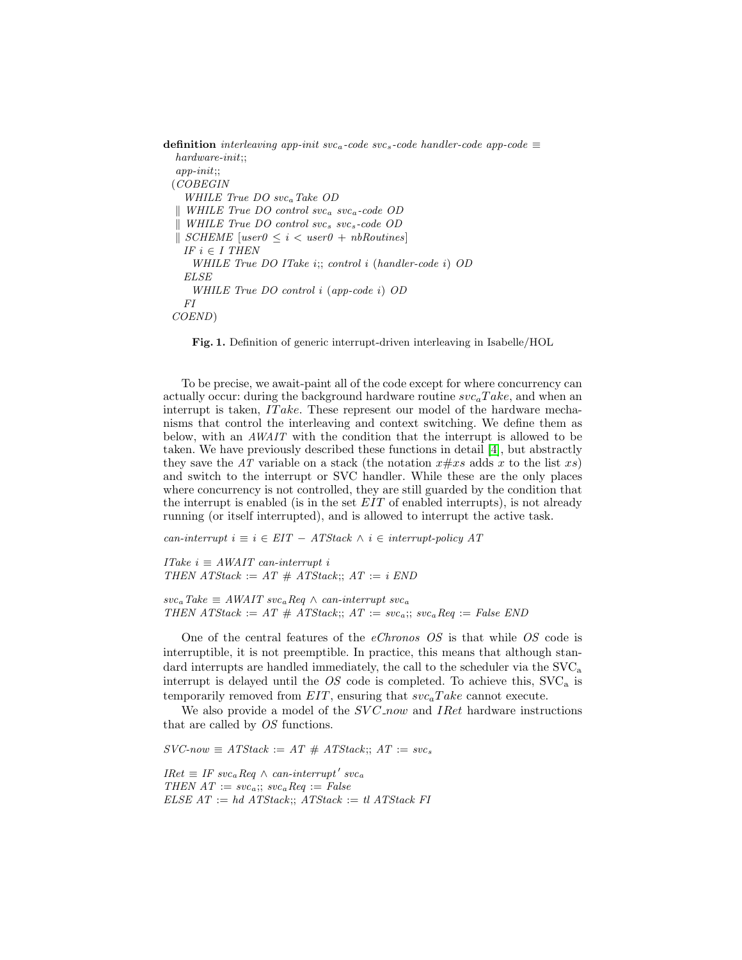definition interleaving app-init svc<sub>a</sub>-code svc<sub>s</sub>-code handler-code app-code  $\equiv$ hardware-init;; app-init;; (COBEGIN WHILE True DO svc<sub>a</sub>Take OD || WHILE True DO control svc<sub>a</sub> svc<sub>a</sub>-code OD || WHILE True DO control svc<sub>s</sub> svc<sub>s</sub>-code OD ||  $SCHEME$  [user $0 \leq i < u$ ser $0 + nb$  Routines] IF  $i \in I$  THEN WHILE True DO ITake i;; control i (handler-code i) OD ELSE WHILE True DO control i (app-code i) OD FI COEND)

<span id="page-5-0"></span>Fig. 1. Definition of generic interrupt-driven interleaving in Isabelle/HOL

To be precise, we await-paint all of the code except for where concurrency can actually occur: during the background hardware routine  $\mathit{svc}_a\mathit{Take}$ , and when an interrupt is taken, IT ake. These represent our model of the hardware mechanisms that control the interleaving and context switching. We define them as below, with an AWAIT with the condition that the interrupt is allowed to be taken. We have previously described these functions in detail [\[4\]](#page-15-3), but abstractly they save the AT variable on a stack (the notation  $x \# xs$  adds x to the list  $xs$ ) and switch to the interrupt or SVC handler. While these are the only places where concurrency is not controlled, they are still guarded by the condition that the interrupt is enabled (is in the set  $EIT$  of enabled interrupts), is not already running (or itself interrupted), and is allowed to interrupt the active task.

can-interrupt  $i \equiv i \in EIT - ATStack \land i \in interrupt\text{-}policy AT$ 

ITake  $i \equiv AWAIT$  can-interrupt i THEN  $ATStack := AT # ATStack; AT := i END$ 

 $svc_a\,Take \equiv AWAIT \, svc_a\,Req \wedge can-interrupt \, svc_a$ THEN ATStack := AT # ATStack;; AT :=  $svc_a$ ;;  $svc_a$ Req := False END

One of the central features of the eChronos OS is that while OS code is interruptible, it is not preemptible. In practice, this means that although standard interrupts are handled immediately, the call to the scheduler via the  $SVC_a$ interrupt is delayed until the OS code is completed. To achieve this,  $SVC_a$  is temporarily removed from  $EIT$ , ensuring that  $\mathit{src}_a\mathit{Take}$  cannot execute.

We also provide a model of the  $SVC_{.}$  now and IRet hardware instructions that are called by OS functions.

 $SVC-now \equiv ATStack := AT \# ATStack;; AT := suc_s$ 

 $IRet \equiv IFs$  svc<sub>a</sub>Req  $\wedge$  can-interrupt' svc<sub>a</sub> THEN  $AT := svc_a$ ;;  $svc_aReq := False$  $ELSE AT := hd ATStack; ATStack := tl ATStack FI$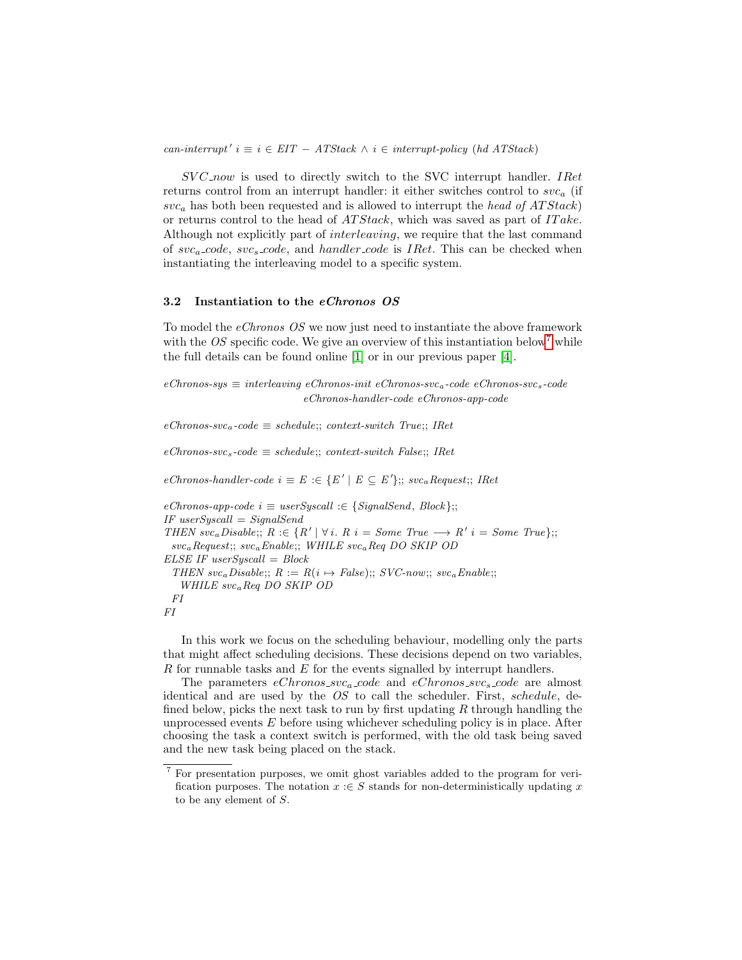can-interrupt'  $i \equiv i \in EIT - ATStack \land i \in interrupt\text{-}policy (hd ATStack)$ 

 $SVC_{.}$  is used to directly switch to the SVC interrupt handler. IRet returns control from an interrupt handler: it either switches control to  $svc_a$  (if  $svc_a$  has both been requested and is allowed to interrupt the head of  $ATStack$ ) or returns control to the head of  $ATStack$ , which was saved as part of  $ITake$ . Although not explicitly part of interleaving, we require that the last command of svc<sub>a</sub>-code, svc<sub>s</sub>-code, and handler-code is IRet. This can be checked when instantiating the interleaving model to a specific system.

#### 3.2 Instantiation to the eChronos OS

To model the eChronos OS we now just need to instantiate the above framework with the OS specific code. We give an overview of this instantiation below<sup>[7](#page-6-0)</sup> while the full details can be found online [\[1\]](#page-14-1) or in our previous paper [\[4\]](#page-15-3).

 $eChronos-sys \equiv interleaving eChronos-nit eChronos-svc_a-code eChronos-svc_s-code$ eChronos-handler-code eChronos-app-code

 $eChronos-svc_a-code \equiv schedule;; context-switch \ True;; IRet$ 

 $eChronos-svc_s-code \equiv schedule; context-switch False;$  IRet

 $eChronos-handler-code i ≡ E := {E' | E ⊆ E'}; soc_a Request;; IRet$ 

 $eChronos-app-code i ≡ userSyscall := {SignalSend, Block};$ ;  $IF$  user $S$ yscall = Signal $Send$ THEN  $\mathit{svc}_a\mathit{Disable}$ ;;  $R \in \{R' \mid \forall i.\; R\; i = \mathit{Some}\; \mathit{True} \longrightarrow R' \; i = \mathit{Some}\; \mathit{True} \}$ ;; svcaRequest;; svcaEnable;; WHILE svcaReq DO SKIP OD  $ELSE$  IF userSyscall = Block THEN  $\mathit{svc}_a\mathit{Disable}$ ;;  $R := R(i \mapsto \mathit{False})$ ;;  $\mathit{SVC-now}$ ;;  $\mathit{svc}_a\mathit{Enable}$ ;; WHILE svcaReq DO SKIP OD FI  ${\cal FI}$ 

In this work we focus on the scheduling behaviour, modelling only the parts that might affect scheduling decisions. These decisions depend on two variables, R for runnable tasks and  $E$  for the events signalled by interrupt handlers.

The parameters  $eChronos\_svc_a\_code$  and  $eChronos\_svc_s\_code$  are almost identical and are used by the OS to call the scheduler. First, schedule, defined below, picks the next task to run by first updating  $R$  through handling the unprocessed events E before using whichever scheduling policy is in place. After choosing the task a context switch is performed, with the old task being saved and the new task being placed on the stack.

<span id="page-6-0"></span><sup>7</sup> For presentation purposes, we omit ghost variables added to the program for verification purposes. The notation  $x : \in S$  stands for non-deterministically updating x to be any element of S.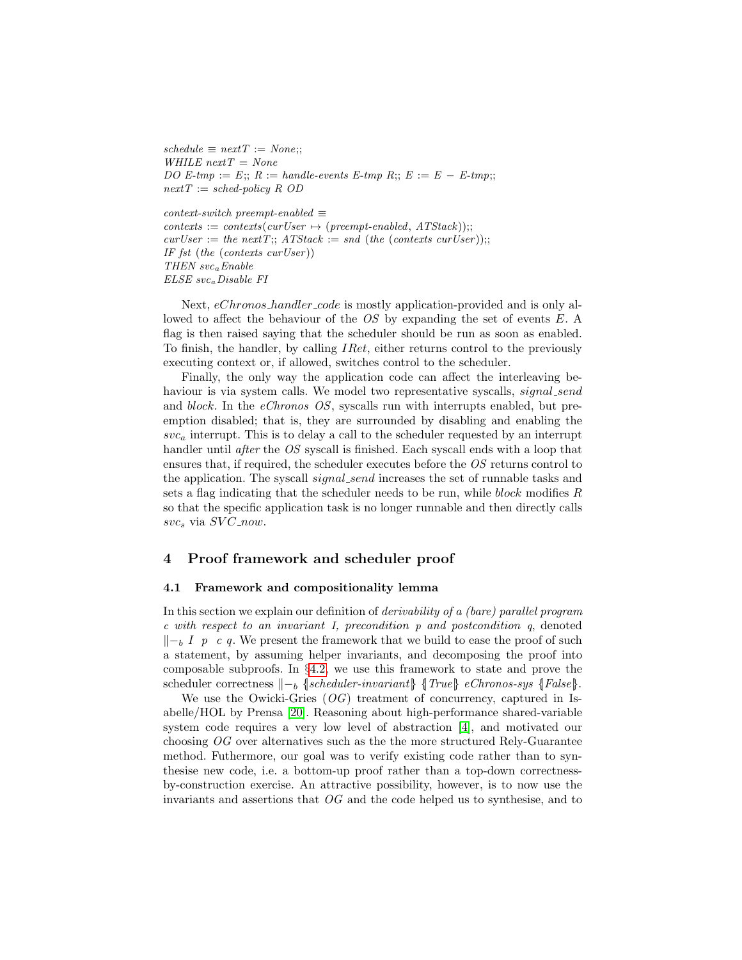$schedule \equiv nextT := None;$ WHILE  $nextT = None$ DO E-tmp := E;;  $R :=$  handle-events E-tmp R;;  $E := E - E$ -tmp;;  $nextT := sched-policy \ R \ OD$ 

context-switch preempt-enabled  $\equiv$  $contexts := contexts(curUser \rightarrow (preempt-enabeled, ATStack));;$  $curUser := the nextT; ATStack := sud (the (contexts curve,curUser));$ IF fst (the (contexts curUser))  $THEN$   $svc<sub>a</sub> Enable$ ELSE svcaDisable FI

Next, *eChronos\_handler\_code* is mostly application-provided and is only allowed to affect the behaviour of the OS by expanding the set of events E. A flag is then raised saying that the scheduler should be run as soon as enabled. To finish, the handler, by calling IRet, either returns control to the previously executing context or, if allowed, switches control to the scheduler.

Finally, the only way the application code can affect the interleaving behaviour is via system calls. We model two representative syscalls, *signal\_send* and block. In the eChronos OS, syscalls run with interrupts enabled, but preemption disabled; that is, they are surrounded by disabling and enabling the  $svc_a$  interrupt. This is to delay a call to the scheduler requested by an interrupt handler until *after* the OS syscall is finished. Each syscall ends with a loop that ensures that, if required, the scheduler executes before the OS returns control to the application. The syscall *signal\_send* increases the set of runnable tasks and sets a flag indicating that the scheduler needs to be run, while block modifies  $R$ so that the specific application task is no longer runnable and then directly calls  $\mathit{svc}_s$  via  $\mathit{SVC}$  now.

### 4 Proof framework and scheduler proof

#### <span id="page-7-0"></span>4.1 Framework and compositionality lemma

In this section we explain our definition of *derivability of a (bare)* parallel program c with respect to an invariant I, precondition p and postcondition q, denoted  $\parallel -b I \, p \, c \, q$ . We present the framework that we build to ease the proof of such a statement, by assuming helper invariants, and decomposing the proof into composable subproofs. In §[4.2,](#page-9-0) we use this framework to state and prove the scheduler correctness  $\|-b$  {scheduler-invariant} {True} eChronos-sys {False}.

We use the Owicki-Gries  $(OG)$  treatment of concurrency, captured in Isabelle/HOL by Prensa [\[20\]](#page-15-4). Reasoning about high-performance shared-variable system code requires a very low level of abstraction [\[4\]](#page-15-3), and motivated our choosing OG over alternatives such as the the more structured Rely-Guarantee method. Futhermore, our goal was to verify existing code rather than to synthesise new code, i.e. a bottom-up proof rather than a top-down correctnessby-construction exercise. An attractive possibility, however, is to now use the invariants and assertions that OG and the code helped us to synthesise, and to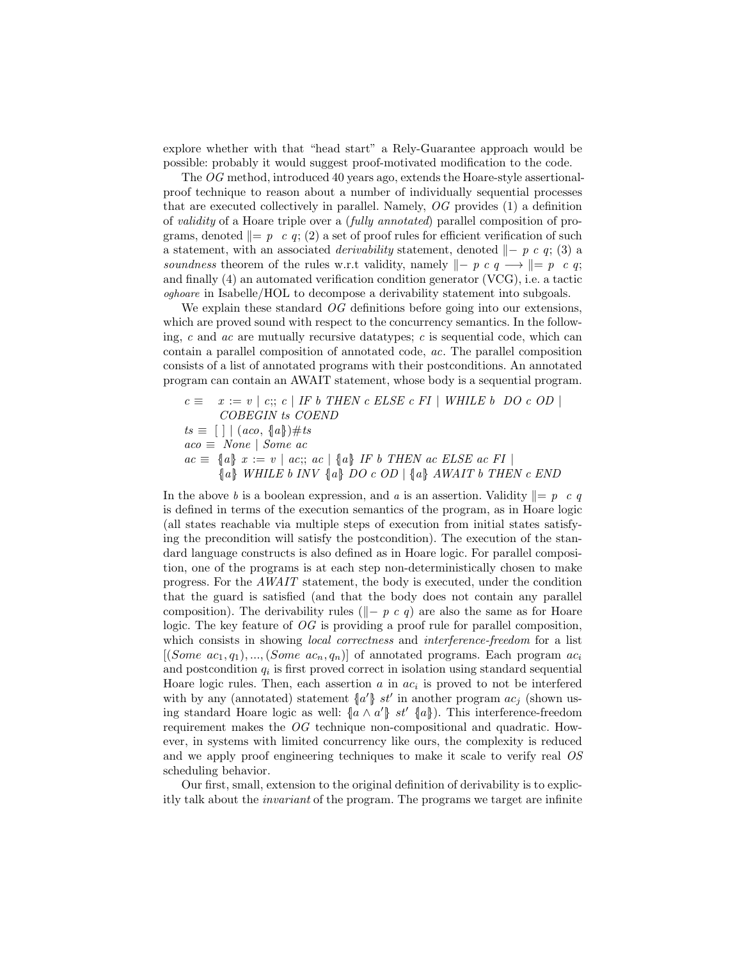explore whether with that "head start" a Rely-Guarantee approach would be possible: probably it would suggest proof-motivated modification to the code.

The OG method, introduced 40 years ago, extends the Hoare-style assertionalproof technique to reason about a number of individually sequential processes that are executed collectively in parallel. Namely, OG provides (1) a definition of validity of a Hoare triple over a (fully annotated) parallel composition of programs, denoted  $\equiv p \, c \, q$ ; (2) a set of proof rules for efficient verification of such a statement, with an associated *derivability* statement, denoted  $\parallel - p \ c \ q$ ; (3) a soundness theorem of the rules w.r.t validity, namely  $|| - p c q \rightarrow || = p c q;$ and finally (4) an automated verification condition generator (VCG), i.e. a tactic oghoare in Isabelle/HOL to decompose a derivability statement into subgoals.

We explain these standard *OG* definitions before going into our extensions, which are proved sound with respect to the concurrency semantics. In the following,  $c$  and  $ac$  are mutually recursive datatypes;  $c$  is sequential code, which can contain a parallel composition of annotated code, ac. The parallel composition consists of a list of annotated programs with their postconditions. An annotated program can contain an AWAIT statement, whose body is a sequential program.

$$
c \equiv x := v \mid c; c \mid IF b THEN c ELSE c FI \mid WHILE b DO c OD \mid
$$
  
\n
$$
COBEGIN \, ts \, COEND
$$
  
\n
$$
ts \equiv [] \mid (aco, \{a\}) \# ts
$$
  
\n
$$
aco \equiv None \mid Some \, ac
$$
  
\n
$$
ac \equiv \{a\} \, x := v \mid ac; ac \mid \{a\} \, IF b THEN \, ac \, ELSE \, ac \, FI \mid
$$
  
\n
$$
\{a\} \, WHILE b \, INV \, \{a\} \, DO \, c \, OD \mid \{a\} \, AWAIT \, b THEN \, c \, END
$$

In the above b is a boolean expression, and a is an assertion. Validity  $\parallel = p \cdot c \cdot q$ is defined in terms of the execution semantics of the program, as in Hoare logic (all states reachable via multiple steps of execution from initial states satisfying the precondition will satisfy the postcondition). The execution of the standard language constructs is also defined as in Hoare logic. For parallel composition, one of the programs is at each step non-deterministically chosen to make progress. For the AWAIT statement, the body is executed, under the condition that the guard is satisfied (and that the body does not contain any parallel composition). The derivability rules ( $\parallel - p \, c \, q$ ) are also the same as for Hoare logic. The key feature of OG is providing a proof rule for parallel composition, which consists in showing *local correctness* and *interference-freedom* for a list  $[(Some\ ac_1, q_1), ..., (Some\ ac_n, q_n)]$  of annotated programs. Each program  $ac_i$ and postcondition  $q_i$  is first proved correct in isolation using standard sequential Hoare logic rules. Then, each assertion  $a$  in  $ac<sub>i</sub>$  is proved to not be interfered with by any (annotated) statement  $\{a'\}\;st'$  in another program  $ac_j$  (shown using standard Hoare logic as well:  $\{a \wedge a'\}$  st'  $\{a\}$ ). This interference-freedom requirement makes the OG technique non-compositional and quadratic. However, in systems with limited concurrency like ours, the complexity is reduced and we apply proof engineering techniques to make it scale to verify real OS scheduling behavior.

Our first, small, extension to the original definition of derivability is to explicitly talk about the invariant of the program. The programs we target are infinite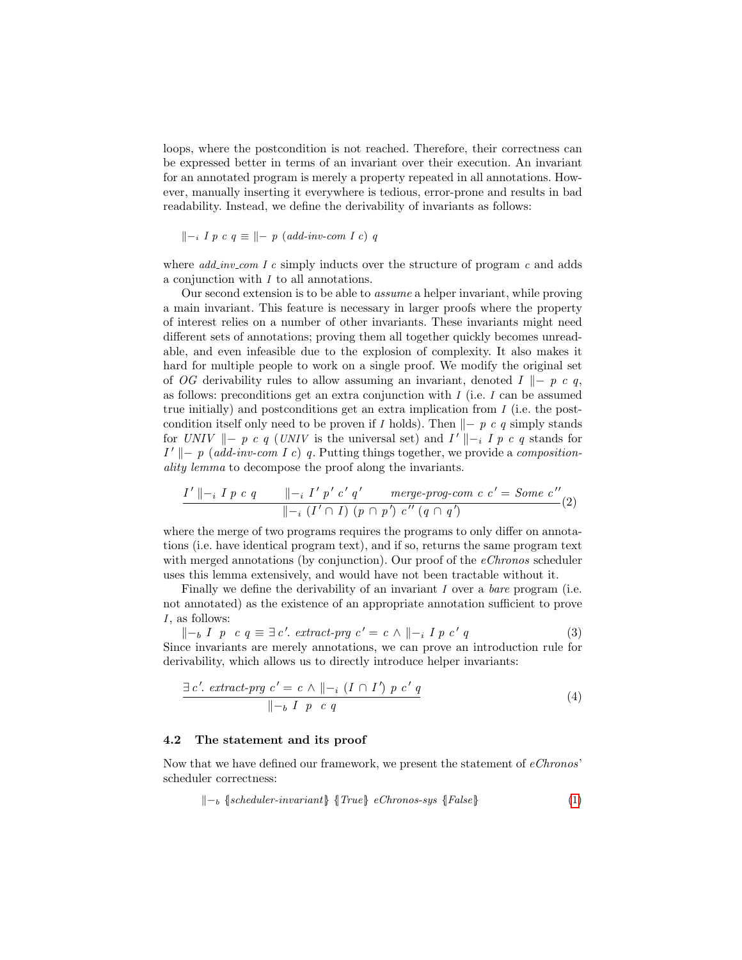loops, where the postcondition is not reached. Therefore, their correctness can be expressed better in terms of an invariant over their execution. An invariant for an annotated program is merely a property repeated in all annotations. However, manually inserting it everywhere is tedious, error-prone and results in bad readability. Instead, we define the derivability of invariants as follows:

$$
\parallel -i I p c q \equiv \parallel -p (add-inv.com I c) q
$$

where  $add.inv.com$  I c simply inducts over the structure of program c and adds a conjunction with I to all annotations.

Our second extension is to be able to assume a helper invariant, while proving a main invariant. This feature is necessary in larger proofs where the property of interest relies on a number of other invariants. These invariants might need different sets of annotations; proving them all together quickly becomes unreadable, and even infeasible due to the explosion of complexity. It also makes it hard for multiple people to work on a single proof. We modify the original set of OG derivability rules to allow assuming an invariant, denoted  $I \parallel - p \ c \ q$ , as follows: preconditions get an extra conjunction with I (i.e. I can be assumed true initially) and postconditions get an extra implication from I (i.e. the postcondition itself only need to be proven if I holds). Then  $\parallel - p \ c \ q \ \text{simply stands}$ for UNIV  $\Vert -p c q$  (UNIV is the universal set) and  $I' \Vert -i I p c q$  stands for  $I' \parallel -p$  (add-inv-com I c) q. Putting things together, we provide a compositionality lemma to decompose the proof along the invariants.

$$
\frac{I' \parallel_{-i} I p c q \qquad \parallel_{-i} I' p' c' q' \qquad merge-prog.com c c' = Some c''}{\parallel_{-i} (I' \cap I) (p \cap p') c'' (q \cap q')}
$$

where the merge of two programs requires the programs to only differ on annotations (i.e. have identical program text), and if so, returns the same program text with merged annotations (by conjunction). Our proof of the  $eChronos$  scheduler uses this lemma extensively, and would have not been tractable without it.

Finally we define the derivability of an invariant  $I$  over a *bare* program (i.e. not annotated) as the existence of an appropriate annotation sufficient to prove I, as follows:

$$
\| -_b I \ p \ c \ q \equiv \exists c'. \ extract\text{-}prg \ c' = c \land \| -_i I \ p \ c' \ q \tag{3}
$$
\nSince invariants are merely annotations, we can prove an introduction rule for  
derivability, which allows us to directly introduce helper invariants:

$$
\frac{\exists c'.\ extract\cdot prg\ c' = c \land \parallel_{-i} (I \cap I') \ p\ c'\ q}{\parallel_{-b} I \ p\ c\ q} \tag{4}
$$

#### <span id="page-9-0"></span>4.2 The statement and its proof

Now that we have defined our framework, we present the statement of eChronos' scheduler correctness:

<span id="page-9-1"></span>
$$
\| -_b \text{ {scheduling-invariant} } \text{ {True} } e\text{ Chromos-sys {False} } \tag{1}
$$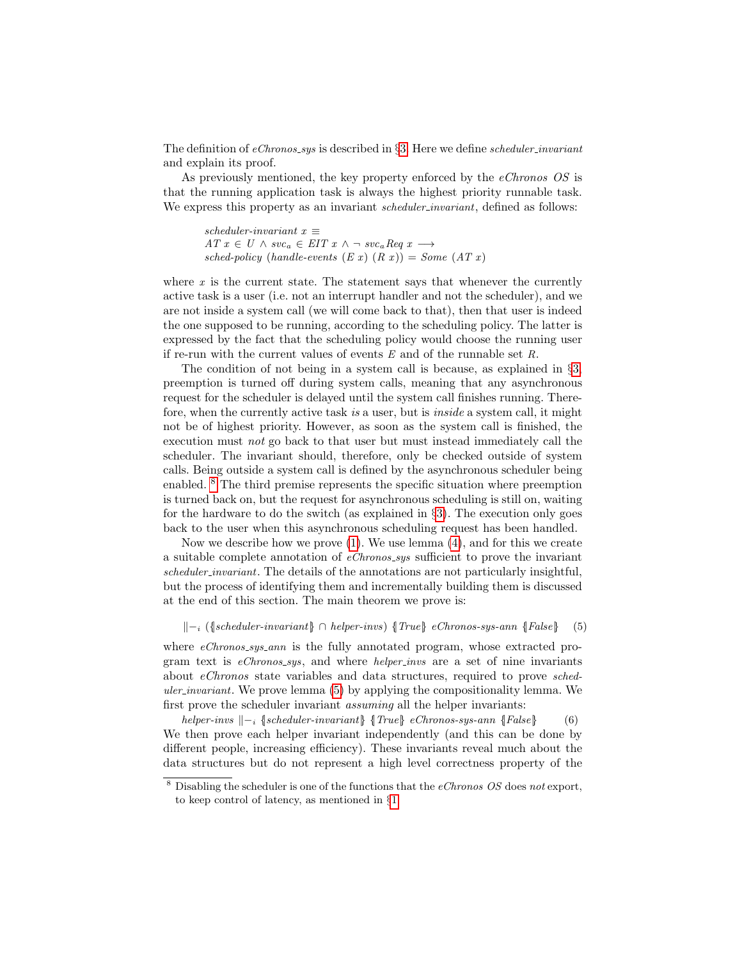The definition of  $eChronos_{-sys}$  is described in §[3.](#page-3-0) Here we define scheduler invariant and explain its proof.

As previously mentioned, the key property enforced by the eChronos OS is that the running application task is always the highest priority runnable task. We express this property as an invariant *scheduler\_invariant*, defined as follows:

scheduler-invariant  $x \equiv$  $AT x \in U \wedge svc_a \in EIT x \wedge \neg svc_aReg x \longrightarrow$ sched-policy (handle-events  $(E x) (R x) = Some (AT x)$ 

where  $x$  is the current state. The statement says that whenever the currently active task is a user (i.e. not an interrupt handler and not the scheduler), and we are not inside a system call (we will come back to that), then that user is indeed the one supposed to be running, according to the scheduling policy. The latter is expressed by the fact that the scheduling policy would choose the running user if re-run with the current values of events  $E$  and of the runnable set  $R$ .

The condition of not being in a system call is because, as explained in §[3,](#page-3-0) preemption is turned off during system calls, meaning that any asynchronous request for the scheduler is delayed until the system call finishes running. Therefore, when the currently active task is a user, but is inside a system call, it might not be of highest priority. However, as soon as the system call is finished, the execution must not go back to that user but must instead immediately call the scheduler. The invariant should, therefore, only be checked outside of system calls. Being outside a system call is defined by the asynchronous scheduler being enabled. [8](#page-10-0) The third premise represents the specific situation where preemption is turned back on, but the request for asynchronous scheduling is still on, waiting for the hardware to do the switch (as explained in §[3\)](#page-3-0). The execution only goes back to the user when this asynchronous scheduling request has been handled.

Now we describe how we prove  $(1)$ . We use lemma  $(4)$ , and for this we create a suitable complete annotation of eChronos sys sufficient to prove the invariant scheduler\_invariant. The details of the annotations are not particularly insightful, but the process of identifying them and incrementally building them is discussed at the end of this section. The main theorem we prove is:

<span id="page-10-2"></span><span id="page-10-1"></span> $\|\cdot\|_i$  ({|scheduler-invariant} ∩ helper-invs) {|True}} eChronos-sys-ann {|False} (5)

where  $eChronos_{sys\_ann}$  is the fully annotated program, whose extracted program text is  $eChronos_sys$ , and where *helper-invs* are a set of nine invariants about eChronos state variables and data structures, required to prove scheduler invariant. We prove lemma [\(5\)](#page-10-1) by applying the compositionality lemma. We first prove the scheduler invariant assuming all the helper invariants:

helper-invs  $|-i$  {|scheduler-invariant {| True} eChronos-sys-ann {|False} (6) We then prove each helper invariant independently (and this can be done by different people, increasing efficiency). These invariants reveal much about the data structures but do not represent a high level correctness property of the

<span id="page-10-0"></span> $8$  Disabling the scheduler is one of the functions that the *eChronos OS* does not export, to keep control of latency, as mentioned in §[1.](#page-0-1)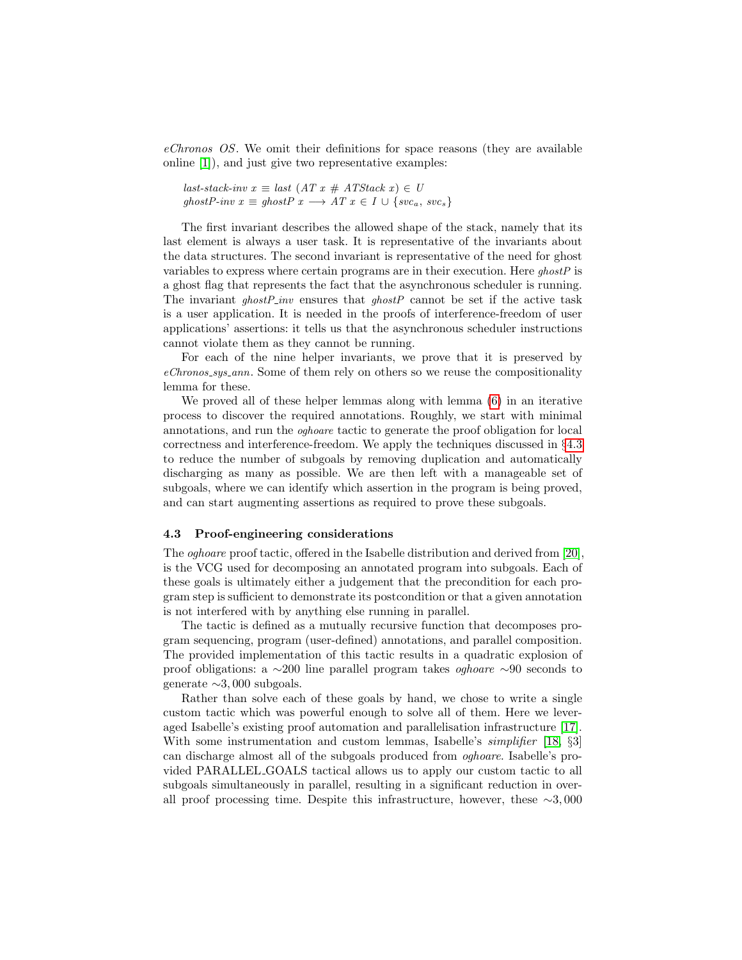eChronos OS. We omit their definitions for space reasons (they are available online [\[1\]](#page-14-1)), and just give two representative examples:

last-stack-inv  $x \equiv$  last  $(AT x \# ATStack x) \in U$  $qhostP\text{-}inv\ x \equiv qhostP\ x \longrightarrow AT\ x \in I \cup \{svc_a, svc_s\}$ 

The first invariant describes the allowed shape of the stack, namely that its last element is always a user task. It is representative of the invariants about the data structures. The second invariant is representative of the need for ghost variables to express where certain programs are in their execution. Here  $q \text{hostP}$  is a ghost flag that represents the fact that the asynchronous scheduler is running. The invariant  $ghostP_{inv}$  ensures that  $ghostP$  cannot be set if the active task is a user application. It is needed in the proofs of interference-freedom of user applications' assertions: it tells us that the asynchronous scheduler instructions cannot violate them as they cannot be running.

For each of the nine helper invariants, we prove that it is preserved by eChronos\_sys\_ann. Some of them rely on others so we reuse the compositionality lemma for these.

We proved all of these helper lemmas along with lemma  $(6)$  in an iterative process to discover the required annotations. Roughly, we start with minimal annotations, and run the oghoare tactic to generate the proof obligation for local correctness and interference-freedom. We apply the techniques discussed in §[4.3](#page-11-0) to reduce the number of subgoals by removing duplication and automatically discharging as many as possible. We are then left with a manageable set of subgoals, where we can identify which assertion in the program is being proved, and can start augmenting assertions as required to prove these subgoals.

#### <span id="page-11-0"></span>4.3 Proof-engineering considerations

The oghoare proof tactic, offered in the Isabelle distribution and derived from [\[20\]](#page-15-4), is the VCG used for decomposing an annotated program into subgoals. Each of these goals is ultimately either a judgement that the precondition for each program step is sufficient to demonstrate its postcondition or that a given annotation is not interfered with by anything else running in parallel.

The tactic is defined as a mutually recursive function that decomposes program sequencing, program (user-defined) annotations, and parallel composition. The provided implementation of this tactic results in a quadratic explosion of proof obligations: a ∼200 line parallel program takes oghoare ∼90 seconds to generate ∼3, 000 subgoals.

Rather than solve each of these goals by hand, we chose to write a single custom tactic which was powerful enough to solve all of them. Here we leveraged Isabelle's existing proof automation and parallelisation infrastructure [\[17\]](#page-15-5). With some instrumentation and custom lemmas, Isabelle's *simplifier* [\[18,](#page-15-2) §3] can discharge almost all of the subgoals produced from oghoare. Isabelle's provided PARALLEL GOALS tactical allows us to apply our custom tactic to all subgoals simultaneously in parallel, resulting in a significant reduction in overall proof processing time. Despite this infrastructure, however, these ∼3, 000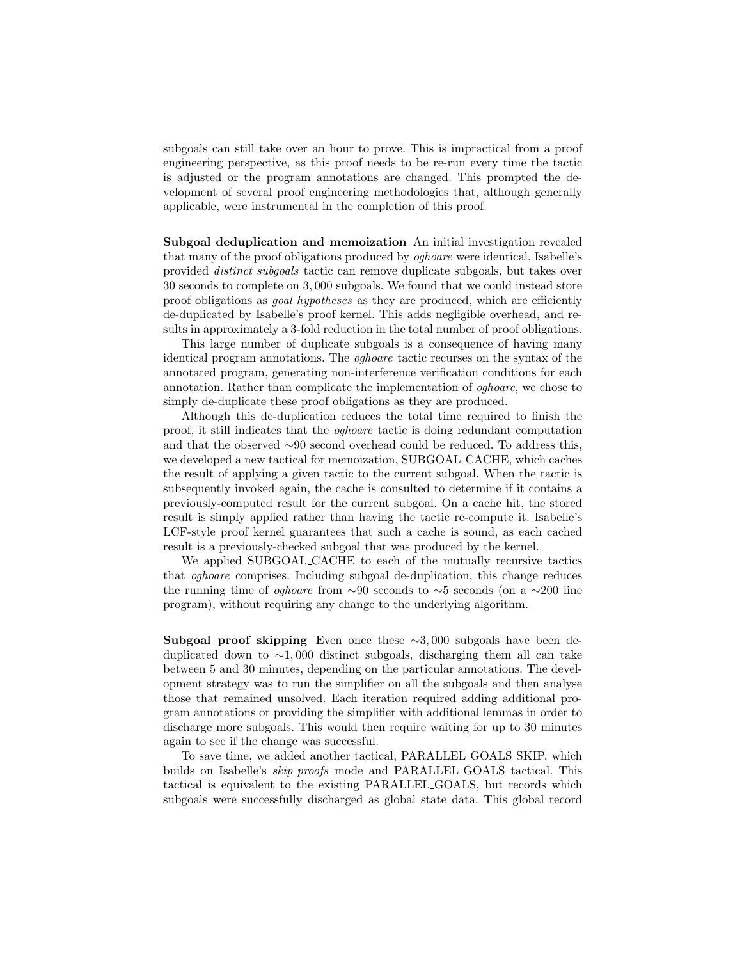subgoals can still take over an hour to prove. This is impractical from a proof engineering perspective, as this proof needs to be re-run every time the tactic is adjusted or the program annotations are changed. This prompted the development of several proof engineering methodologies that, although generally applicable, were instrumental in the completion of this proof.

Subgoal deduplication and memoization An initial investigation revealed that many of the proof obligations produced by oghoare were identical. Isabelle's provided distinct subgoals tactic can remove duplicate subgoals, but takes over 30 seconds to complete on 3, 000 subgoals. We found that we could instead store proof obligations as goal hypotheses as they are produced, which are efficiently de-duplicated by Isabelle's proof kernel. This adds negligible overhead, and results in approximately a 3-fold reduction in the total number of proof obligations.

This large number of duplicate subgoals is a consequence of having many identical program annotations. The oghoare tactic recurses on the syntax of the annotated program, generating non-interference verification conditions for each annotation. Rather than complicate the implementation of oghoare, we chose to simply de-duplicate these proof obligations as they are produced.

Although this de-duplication reduces the total time required to finish the proof, it still indicates that the oghoare tactic is doing redundant computation and that the observed ∼90 second overhead could be reduced. To address this, we developed a new tactical for memoization, SUBGOAL CACHE, which caches the result of applying a given tactic to the current subgoal. When the tactic is subsequently invoked again, the cache is consulted to determine if it contains a previously-computed result for the current subgoal. On a cache hit, the stored result is simply applied rather than having the tactic re-compute it. Isabelle's LCF-style proof kernel guarantees that such a cache is sound, as each cached result is a previously-checked subgoal that was produced by the kernel.

We applied SUBGOAL CACHE to each of the mutually recursive tactics that oghoare comprises. Including subgoal de-duplication, this change reduces the running time of *oghoare* from ∼90 seconds to ∼5 seconds (on a ∼200 line program), without requiring any change to the underlying algorithm.

Subgoal proof skipping Even once these ~3,000 subgoals have been deduplicated down to ∼1, 000 distinct subgoals, discharging them all can take between 5 and 30 minutes, depending on the particular annotations. The development strategy was to run the simplifier on all the subgoals and then analyse those that remained unsolved. Each iteration required adding additional program annotations or providing the simplifier with additional lemmas in order to discharge more subgoals. This would then require waiting for up to 30 minutes again to see if the change was successful.

To save time, we added another tactical, PARALLEL GOALS SKIP, which builds on Isabelle's skip proofs mode and PARALLEL GOALS tactical. This tactical is equivalent to the existing PARALLEL GOALS, but records which subgoals were successfully discharged as global state data. This global record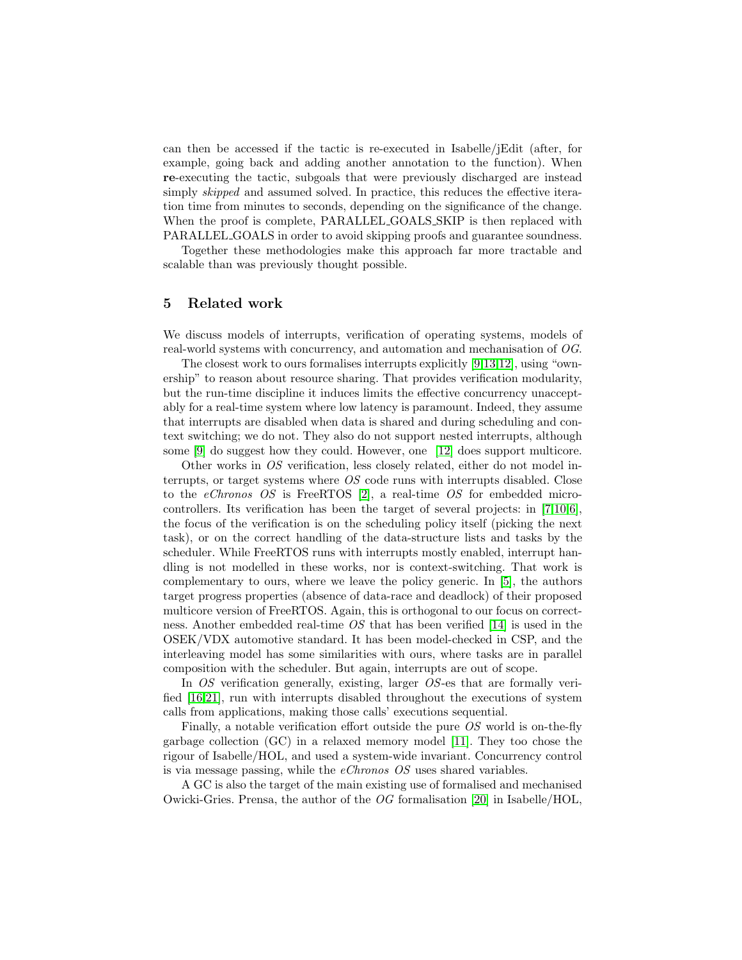can then be accessed if the tactic is re-executed in Isabelle/jEdit (after, for example, going back and adding another annotation to the function). When re-executing the tactic, subgoals that were previously discharged are instead simply *skipped* and assumed solved. In practice, this reduces the effective iteration time from minutes to seconds, depending on the significance of the change. When the proof is complete, PARALLEL GOALS SKIP is then replaced with PARALLEL GOALS in order to avoid skipping proofs and guarantee soundness.

Together these methodologies make this approach far more tractable and scalable than was previously thought possible.

# 5 Related work

We discuss models of interrupts, verification of operating systems, models of real-world systems with concurrency, and automation and mechanisation of OG.

The closest work to ours formalises interrupts explicitly [\[9,](#page-15-6)[13,](#page-15-7)[12\]](#page-15-8), using "ownership" to reason about resource sharing. That provides verification modularity, but the run-time discipline it induces limits the effective concurrency unacceptably for a real-time system where low latency is paramount. Indeed, they assume that interrupts are disabled when data is shared and during scheduling and context switching; we do not. They also do not support nested interrupts, although some [\[9\]](#page-15-6) do suggest how they could. However, one [\[12\]](#page-15-8) does support multicore.

Other works in OS verification, less closely related, either do not model interrupts, or target systems where OS code runs with interrupts disabled. Close to the eChronos OS is FreeRTOS [\[2\]](#page-14-2), a real-time OS for embedded microcontrollers. Its verification has been the target of several projects: in [\[7,](#page-15-9)[10,](#page-15-10)[6\]](#page-15-11), the focus of the verification is on the scheduling policy itself (picking the next task), or on the correct handling of the data-structure lists and tasks by the scheduler. While FreeRTOS runs with interrupts mostly enabled, interrupt handling is not modelled in these works, nor is context-switching. That work is complementary to ours, where we leave the policy generic. In [\[5\]](#page-15-12), the authors target progress properties (absence of data-race and deadlock) of their proposed multicore version of FreeRTOS. Again, this is orthogonal to our focus on correctness. Another embedded real-time OS that has been verified [\[14\]](#page-15-13) is used in the OSEK/VDX automotive standard. It has been model-checked in CSP, and the interleaving model has some similarities with ours, where tasks are in parallel composition with the scheduler. But again, interrupts are out of scope.

In OS verification generally, existing, larger OS-es that are formally verified [\[16,](#page-15-14)[21\]](#page-15-15), run with interrupts disabled throughout the executions of system calls from applications, making those calls' executions sequential.

Finally, a notable verification effort outside the pure OS world is on-the-fly garbage collection (GC) in a relaxed memory model [\[11\]](#page-15-16). They too chose the rigour of Isabelle/HOL, and used a system-wide invariant. Concurrency control is via message passing, while the eChronos OS uses shared variables.

A GC is also the target of the main existing use of formalised and mechanised Owicki-Gries. Prensa, the author of the  $OG$  formalisation [\[20\]](#page-15-4) in Isabelle/HOL,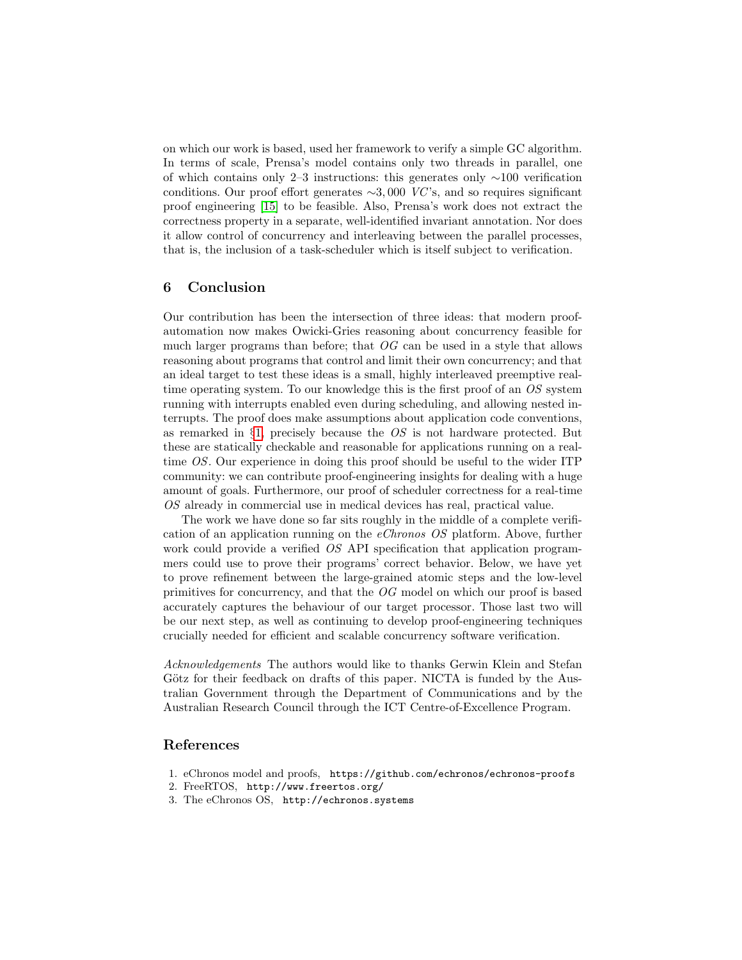on which our work is based, used her framework to verify a simple GC algorithm. In terms of scale, Prensa's model contains only two threads in parallel, one of which contains only 2–3 instructions: this generates only ∼100 verification conditions. Our proof effort generates  $\sim$ 3,000 VC's, and so requires significant proof engineering [\[15\]](#page-15-17) to be feasible. Also, Prensa's work does not extract the correctness property in a separate, well-identified invariant annotation. Nor does it allow control of concurrency and interleaving between the parallel processes, that is, the inclusion of a task-scheduler which is itself subject to verification.

### 6 Conclusion

Our contribution has been the intersection of three ideas: that modern proofautomation now makes Owicki-Gries reasoning about concurrency feasible for much larger programs than before; that  $OG$  can be used in a style that allows reasoning about programs that control and limit their own concurrency; and that an ideal target to test these ideas is a small, highly interleaved preemptive realtime operating system. To our knowledge this is the first proof of an OS system running with interrupts enabled even during scheduling, and allowing nested interrupts. The proof does make assumptions about application code conventions, as remarked in §[1,](#page-0-1) precisely because the OS is not hardware protected. But these are statically checkable and reasonable for applications running on a realtime OS. Our experience in doing this proof should be useful to the wider ITP community: we can contribute proof-engineering insights for dealing with a huge amount of goals. Furthermore, our proof of scheduler correctness for a real-time OS already in commercial use in medical devices has real, practical value.

The work we have done so far sits roughly in the middle of a complete verification of an application running on the eChronos OS platform. Above, further work could provide a verified *OS* API specification that application programmers could use to prove their programs' correct behavior. Below, we have yet to prove refinement between the large-grained atomic steps and the low-level primitives for concurrency, and that the OG model on which our proof is based accurately captures the behaviour of our target processor. Those last two will be our next step, as well as continuing to develop proof-engineering techniques crucially needed for efficient and scalable concurrency software verification.

Acknowledgements The authors would like to thanks Gerwin Klein and Stefan Götz for their feedback on drafts of this paper. NICTA is funded by the Australian Government through the Department of Communications and by the Australian Research Council through the ICT Centre-of-Excellence Program.

# References

- <span id="page-14-1"></span>1. eChronos model and proofs, https://github.com/echronos/echronos-proofs
- <span id="page-14-2"></span>2. FreeRTOS, http://www.freertos.org/
- <span id="page-14-0"></span>3. The eChronos OS, http://echronos.systems